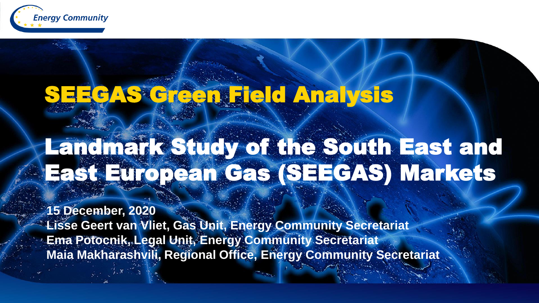

# SEEGAS Green Field Analysis

## Landmark Study of the South East and East European Gas (SEEGAS) Markets

**15 December, 2020 Lisse Geert van Vliet, Gas Unit, Energy Community Secretariat Ema Potocnik, Legal Unit, Energy Community Secretariat Maia Makharashvili, Regional Office, Energy Community Secretariat**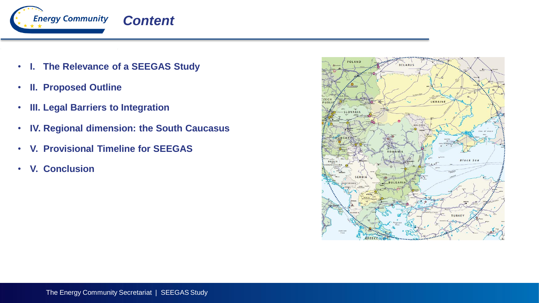

- **I. The Relevance of a SEEGAS Study**
- **II. Proposed Outline**
- **III. Legal Barriers to Integration**
- **IV. Regional dimension: the South Caucasus**
- **V. Provisional Timeline for SEEGAS**
- **V. Conclusion**

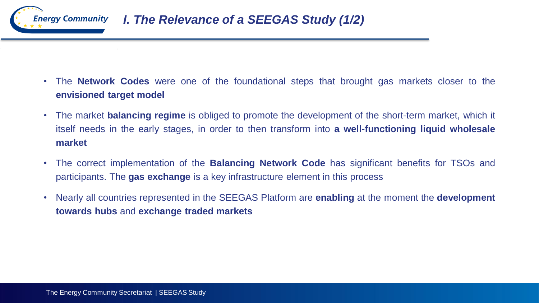

- The **Network Codes** were one of the foundational steps that brought gas markets closer to the **envisioned target model**
- The market **balancing regime** is obliged to promote the development of the short-term market, which it itself needs in the early stages, in order to then transform into **a well-functioning liquid wholesale market**
- The correct implementation of the **Balancing Network Code** has significant benefits for TSOs and participants. The **gas exchange** is a key infrastructure element in this process
- Nearly all countries represented in the SEEGAS Platform are **enabling** at the moment the **development towards hubs** and **exchange traded markets**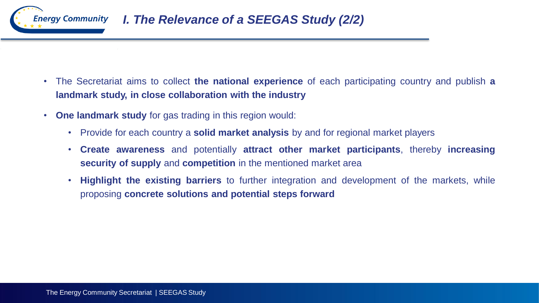

- The Secretariat aims to collect **the national experience** of each participating country and publish **a landmark study, in close collaboration with the industry**
- **One landmark study** for gas trading in this region would:
	- Provide for each country a **solid market analysis** by and for regional market players
	- **Create awareness** and potentially **attract other market participants**, thereby **increasing security of supply** and **competition** in the mentioned market area
	- **Highlight the existing barriers** to further integration and development of the markets, while proposing **concrete solutions and potential steps forward**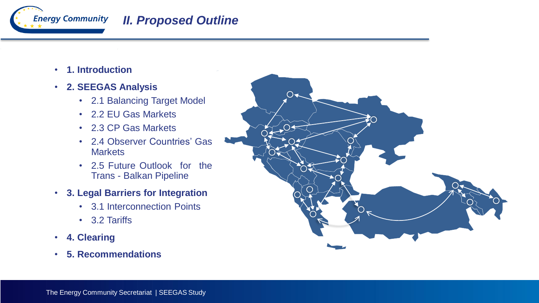

#### *II. Proposed Outline*

- **1. Introduction**
- **2. SEEGAS Analysis**
	- 2.1 Balancing Target Model
	- 2.2 EU Gas Markets
	- 2.3 CP Gas Markets
	- 2.4 Observer Countries' Gas **Markets**
	- 2.5 Future Outlook for the Trans - Balkan Pipeline
- **3. Legal Barriers for Integration**
	- 3.1 Interconnection Points
	- 3.2 Tariffs
- **4. Clearing**
- **5. Recommendations**

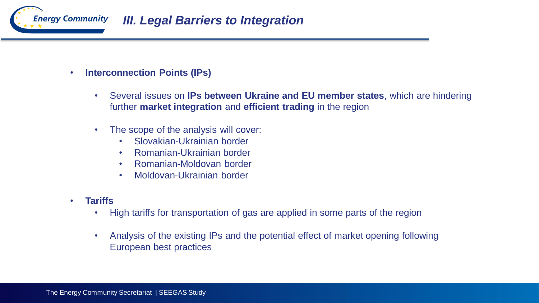

- **Interconnection Points (IPs)** 
	- Several issues on **IPs between Ukraine and EU member states**, which are hindering further **market integration** and **efficient trading** in the region
	- The scope of the analysis will cover:
		- Slovakian-Ukrainian border
		- Romanian-Ukrainian border
		- Romanian-Moldovan border
		- Moldovan-Ukrainian border
- **Tariffs**
	- High tariffs for transportation of gas are applied in some parts of the region
	- Analysis of the existing IPs and the potential effect of market opening following European best practices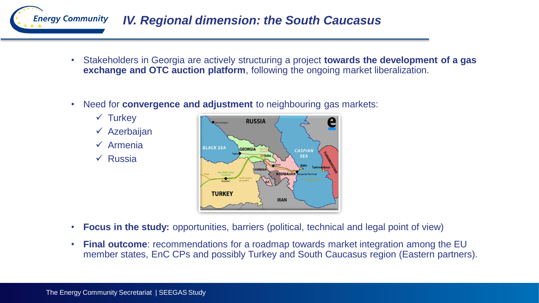

- Stakeholders in Georgia are actively structuring a project **towards the development of a gas exchange and OTC auction platform**, following the ongoing market liberalization.
- Need for **convergence and adjustment** to neighbouring gas markets:
	- $\checkmark$  Turkey  $\checkmark$  Azerbaijan
	- $\checkmark$  Armenia
	- $\sqrt{ }$  Russia



- **Focus in the study:** opportunities, barriers (political, technical and legal point of view)
- **Final outcome**: recommendations for a roadmap towards market integration among the EU member states, EnC CPs and possibly Turkey and South Caucasus region (Eastern partners).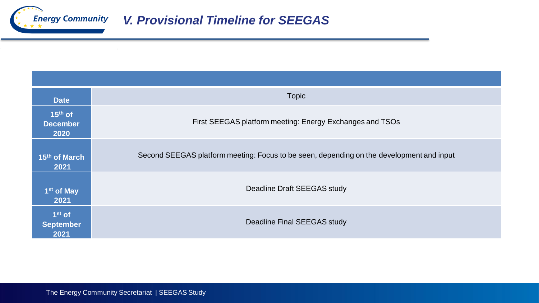

| <b>Date</b>                          | <b>Topic</b>                                                                             |
|--------------------------------------|------------------------------------------------------------------------------------------|
| $15th$ of<br><b>December</b><br>2020 | First SEEGAS platform meeting: Energy Exchanges and TSOs                                 |
| 15th of March<br>2021                | Second SEEGAS platform meeting: Focus to be seen, depending on the development and input |
| 1 <sup>st</sup> of May<br>2021       | Deadline Draft SEEGAS study                                                              |
| $1st$ of<br><b>September</b><br>2021 | Deadline Final SEEGAS study                                                              |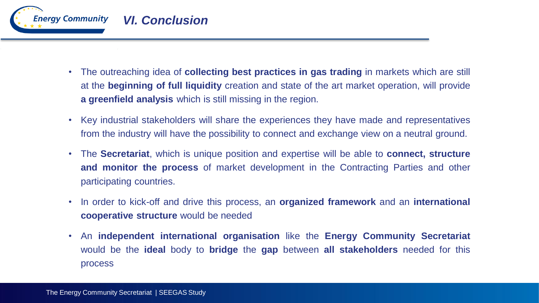

- The outreaching idea of **collecting best practices in gas trading** in markets which are still at the **beginning of full liquidity** creation and state of the art market operation, will provide **a greenfield analysis** which is still missing in the region.
- Key industrial stakeholders will share the experiences they have made and representatives from the industry will have the possibility to connect and exchange view on a neutral ground.
- The **Secretariat**, which is unique position and expertise will be able to **connect, structure and monitor the process** of market development in the Contracting Parties and other participating countries.
- In order to kick-off and drive this process, an **organized framework** and an **international cooperative structure** would be needed
- An **independent international organisation** like the **Energy Community Secretariat** would be the **ideal** body to **bridge** the **gap** between **all stakeholders** needed for this process